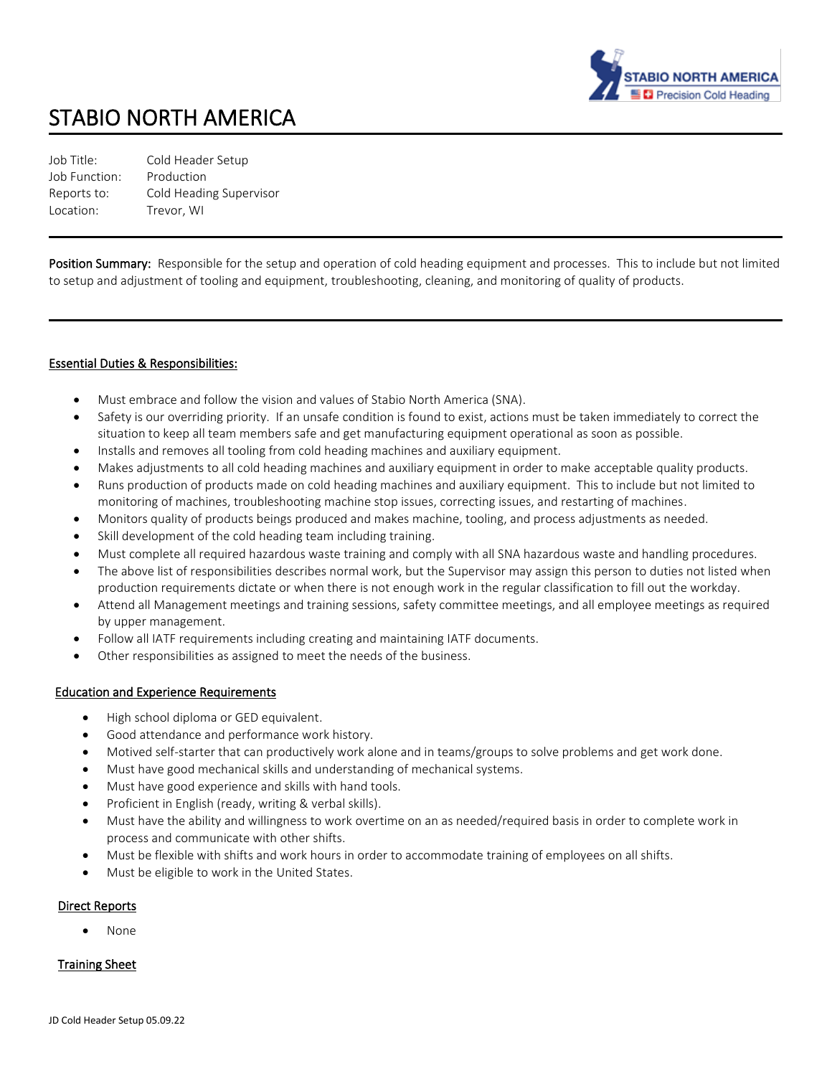

# STABIO NORTH AMERICA

| Job Title:    | Cold Header Setup       |
|---------------|-------------------------|
| Job Function: | Production              |
| Reports to:   | Cold Heading Supervisor |
| Location:     | Trevor. WI              |
|               |                         |

Position Summary: Responsible for the setup and operation of cold heading equipment and processes. This to include but not limited to setup and adjustment of tooling and equipment, troubleshooting, cleaning, and monitoring of quality of products.

## Essential Duties & Responsibilities:

- Must embrace and follow the vision and values of Stabio North America (SNA).
- Safety is our overriding priority. If an unsafe condition is found to exist, actions must be taken immediately to correct the situation to keep all team members safe and get manufacturing equipment operational as soon as possible.
- Installs and removes all tooling from cold heading machines and auxiliary equipment.
- Makes adjustments to all cold heading machines and auxiliary equipment in order to make acceptable quality products.
- Runs production of products made on cold heading machines and auxiliary equipment. This to include but not limited to monitoring of machines, troubleshooting machine stop issues, correcting issues, and restarting of machines.
- Monitors quality of products beings produced and makes machine, tooling, and process adjustments as needed.
- Skill development of the cold heading team including training.
- Must complete all required hazardous waste training and comply with all SNA hazardous waste and handling procedures.
- The above list of responsibilities describes normal work, but the Supervisor may assign this person to duties not listed when production requirements dictate or when there is not enough work in the regular classification to fill out the workday.
- Attend all Management meetings and training sessions, safety committee meetings, and all employee meetings as required by upper management.
- Follow all IATF requirements including creating and maintaining IATF documents.
- Other responsibilities as assigned to meet the needs of the business.

## Education and Experience Requirements

- High school diploma or GED equivalent.
- Good attendance and performance work history.
- Motived self-starter that can productively work alone and in teams/groups to solve problems and get work done.
- Must have good mechanical skills and understanding of mechanical systems.
- Must have good experience and skills with hand tools.
- Proficient in English (ready, writing & verbal skills).
- Must have the ability and willingness to work overtime on an as needed/required basis in order to complete work in process and communicate with other shifts.
- Must be flexible with shifts and work hours in order to accommodate training of employees on all shifts.
- Must be eligible to work in the United States.

## Direct Reports

• None

## Training Sheet